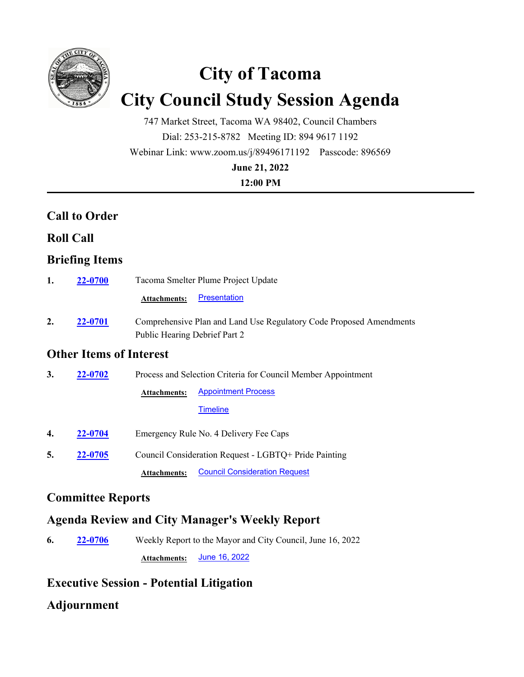

# **City of Tacoma City Council Study Session Agenda**

747 Market Street, Tacoma WA 98402, Council Chambers Dial: 253-215-8782 Meeting ID: 894 9617 1192 Webinar Link: www.zoom.us/j/89496171192 Passcode: 896569 **June 21, 2022**

**12:00 PM**

# **Call to Order**

#### **Roll Call**

## **Briefing Items**

| 1. | <b>22-0700</b> | Tacoma Smelter Plume Project Update                                                                  |  |  |
|----|----------------|------------------------------------------------------------------------------------------------------|--|--|
|    |                | Presentation<br><b>Attachments:</b>                                                                  |  |  |
| 2. | 22-0701        | Comprehensive Plan and Land Use Regulatory Code Proposed Amendments<br>Public Hearing Debrief Part 2 |  |  |

## **Other Items of Interest**

| 3. | 22-0702 | Process and Selection Criteria for Council Member Appointment |                                      |  |
|----|---------|---------------------------------------------------------------|--------------------------------------|--|
|    |         | <b>Attachments:</b>                                           | <b>Appointment Process</b>           |  |
|    |         |                                                               | <b>Timeline</b>                      |  |
| 4. | 22-0704 | Emergency Rule No. 4 Delivery Fee Caps                        |                                      |  |
| 5. | 22-0705 | Council Consideration Request - LGBTQ+ Pride Painting         |                                      |  |
|    |         | <b>Attachments:</b>                                           | <b>Council Consideration Request</b> |  |

# **Committee Reports**

# **Agenda Review and City Manager's Weekly Report**

**6. 22-0706** Weekly Report to the Mayor and City Council, June 16, 2022 **Attachments:** [June 16, 2022](http://cityoftacoma.legistar.com/gateway.aspx?M=F&ID=e52ad9ae-93da-4b6c-8eca-8b201bd7a6dc.pdf)

# **Executive Session - Potential Litigation**

#### **Adjournment**